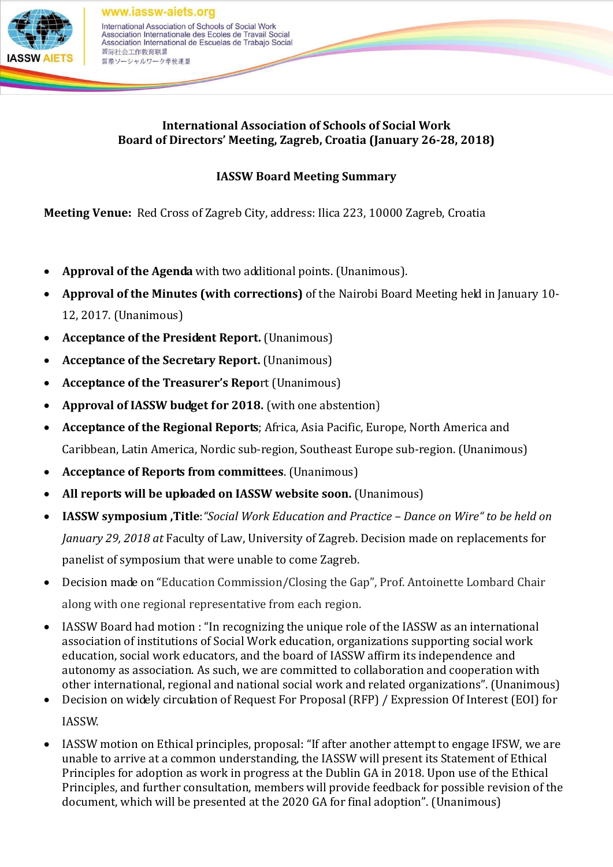

## **International Association of Schools of Social Work Board of Directors' Meeting, Zagreb, Croatia (January 26-28, 2018)**

## **IASSW Board Meeting Summary**

**Meeting Venue:** Red Cross of Zagreb City, address: Ilica 223, 10000 Zagreb, Croatia

- **Approval of the Agenda** with two additional points. (Unanimous).
- **Approval of the Minutes (with corrections)** of the Nairobi Board Meeting held in January 10- 12, 2017. (Unanimous)
- **Acceptance of the President Report.** (Unanimous)
- **Acceptance of the Secretary Report.** (Unanimous)
- **Acceptance of the Treasurer's Repo**rt (Unanimous)
- **Approval of IASSW budget for 2018.** (with one abstention)
- **Acceptance of the Regional Reports**; Africa, Asia Pacific, Europe, North America and Caribbean, Latin America, Nordic sub-region, Southeast Europe sub-region. (Unanimous)
- **Acceptance of Reports from committees**. (Unanimous)
- **All reports will be uploaded on IASSW website soon.** (Unanimous)
- **IASSW symposium ,Title**:*"Social Work Education and Practice – Dance on Wire" to be held on January 29, 2018 at* Faculty of Law, University of Zagreb. Decision made on replacements for panelist of symposium that were unable to come Zagreb.
- Decision made on "Education Commission/Closing the Gap", Prof. Antoinette Lombard Chair along with one regional representative from each region.
- IASSW Board had motion : "In recognizing the unique role of the IASSW as an international association of institutions of Social Work education, organizations supporting social work education, social work educators, and the board of IASSW affirm its independence and autonomy as association. As such, we are committed to collaboration and cooperation with other international, regional and national social work and related organizations". (Unanimous)
- Decision on widely circulation of Request For Proposal (RFP) / Expression Of Interest (EOI) for IASSW.
- IASSW motion on Ethical principles, proposal: "If after another attempt to engage IFSW, we are unable to arrive at a common understanding, the IASSW will present its Statement of Ethical Principles for adoption as work in progress at the Dublin GA in 2018. Upon use of the Ethical Principles, and further consultation, members will provide feedback for possible revision of the document, which will be presented at the 2020 GA for final adoption". (Unanimous)